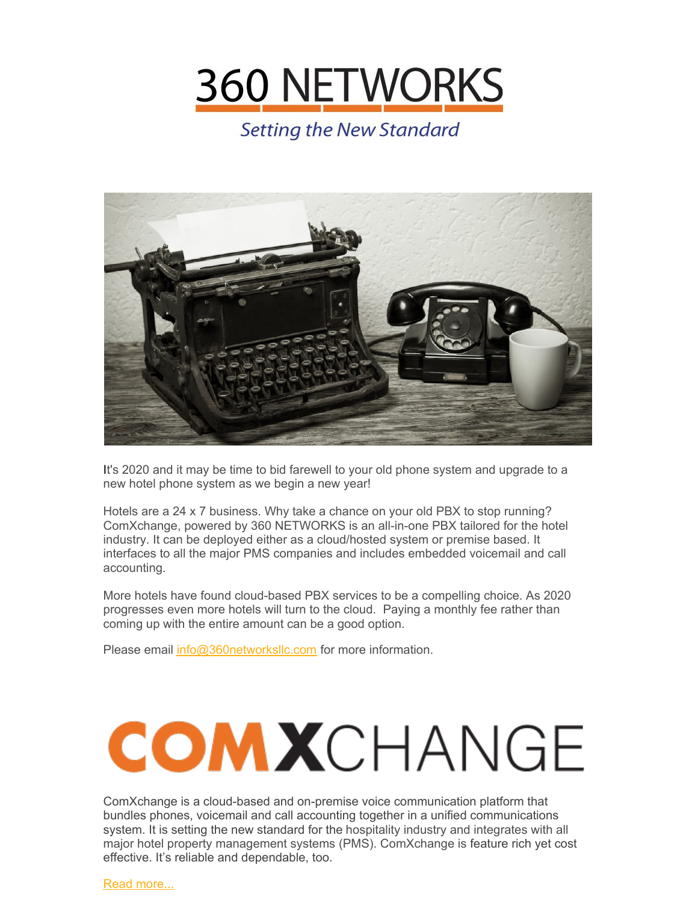



It's 2020 and it may be time to bid farewell to your old phone system and upgrade to a new hotel phone system as we begin a new year!

Hotels are a 24 x 7 business. Why take a chance on your old PBX to stop running? ComXchange, powered by 360 NETWORKS is an all-in-one PBX tailored for the hotel industry. It can be deployed either as a cloud/hosted system or premise based. It interfaces to all the major PMS companies and includes embedded voicemail and call accounting.

More hotels have found cloud-based PBX services to be a compelling choice. As 2020 progresses even more hotels will turn to the cloud. Paying a monthly fee rather than coming up with the entire amount can be a good option.

Please email [info@360networksllc.com](mailto:info@360networksllc.com) for more information.

## COMXCHANGE

ComXchange is a cloud-based and on-premise voice communication platform that bundles phones, voicemail and call accounting together in a unified communications system. It is setting the new standard for the hospitality industry and integrates with all major hotel property management systems (PMS). ComXchange is feature rich yet cost effective. It's reliable and dependable, too.

Read [more...](https://files.constantcontact.com/5cfeb3dd701/91efa4e8-2b94-4960-868f-78794cb7bbff.pdf)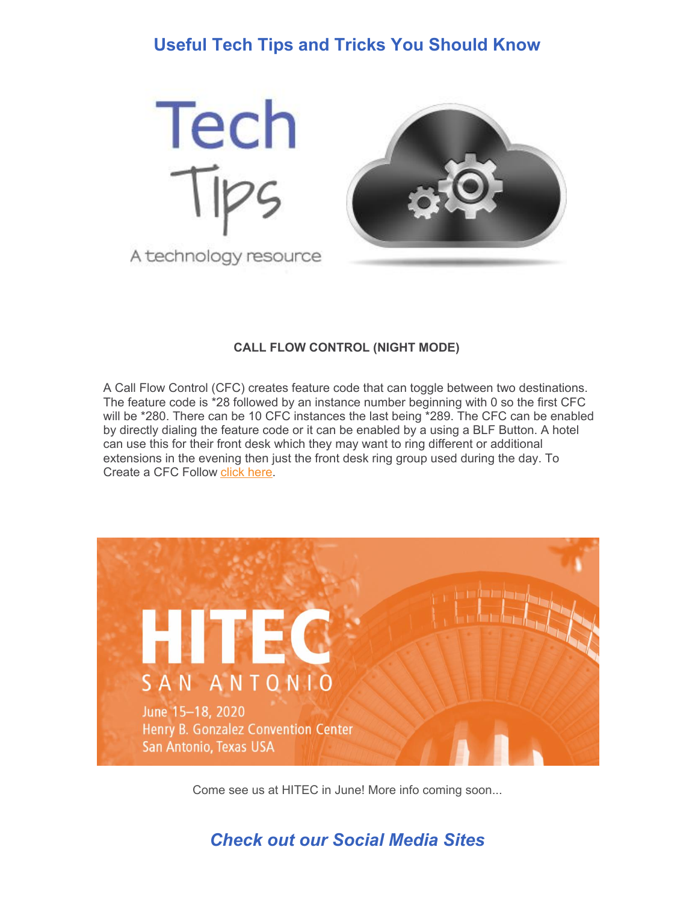## **Useful Tech Tips and Tricks You Should Know**



## **CALL FLOW CONTROL (NIGHT MODE)**

A Call Flow Control (CFC) creates feature code that can toggle between two destinations. The feature code is \*28 followed by an instance number beginning with 0 so the first CFC will be \*280. There can be 10 CFC instances the last being \*289. The CFC can be enabled by directly dialing the feature code or it can be enabled by a using a BLF Button. A hotel can use this for their front desk which they may want to ring different or additional extensions in the evening then just the front desk ring group used during the day. To Create a CFC Follow [click](https://files.constantcontact.com/5cfeb3dd701/32270d8e-d500-4d1c-85b5-4b359728aa64.pdf) here.



Come see us at HITEC in June! More info coming soon...

*Check out our Social Media Sites*